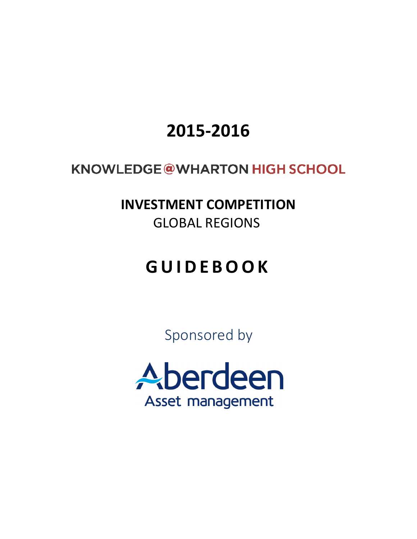# **2015-2016**

# **KNOWLEDGE@WHARTON HIGH SCHOOL**

**INVESTMENT COMPETITION** GLOBAL REGIONS

# **GUIDEBOOK**

Sponsored by

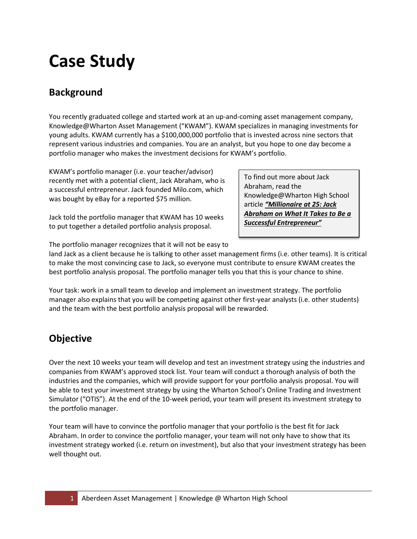# **Case Study**

# **Background**

You recently graduated college and started work at an up-and-coming asset management company, Knowledge@Wharton Asset Management ("KWAM"). KWAM specializes in managing investments for young adults. KWAM currently has a \$100,000,000 portfolio that is invested across nine sectors that represent various industries and companies. You are an analyst, but you hope to one day become a portfolio manager who makes the investment decisions for KWAM's portfolio.

KWAM's portfolio manager (i.e. your teacher/advisor) recently met with a potential client, Jack Abraham, who is a successful entrepreneur. Jack founded Milo.com, which was bought by eBay for a reported \$75 million.

Jack told the portfolio manager that KWAM has 10 weeks to put together a detailed portfolio analysis proposal.

To find out more about Jack Abraham, read the Knowledge@Wharton High School article *["Millionaire at 25: Jack](http://kwhs.wharton.upenn.edu/2011/11/millionaire-at-25-jack-abraham-on-what-it-takes-to-be-a-successful-entrepreneur/)  [Abraham on What It Takes to Be a](http://kwhs.wharton.upenn.edu/2011/11/millionaire-at-25-jack-abraham-on-what-it-takes-to-be-a-successful-entrepreneur/)  [Successful Entrepreneur"](http://kwhs.wharton.upenn.edu/2011/11/millionaire-at-25-jack-abraham-on-what-it-takes-to-be-a-successful-entrepreneur/)*

The portfolio manager recognizes that it will not be easy to

land Jack as a client because he is talking to other asset management firms (i.e. other teams). It is critical to make the most convincing case to Jack, so everyone must contribute to ensure KWAM creates the best portfolio analysis proposal. The portfolio manager tells you that this is your chance to shine.

Your task: work in a small team to develop and implement an investment strategy. The portfolio manager also explains that you will be competing against other first-year analysts (i.e. other students) and the team with the best portfolio analysis proposal will be rewarded.

# **Objective**

Over the next 10 weeks your team will develop and test an investment strategy using the industries and companies from KWAM's approved stock list. Your team will conduct a thorough analysis of both the industries and the companies, which will provide support for your portfolio analysis proposal. You will be able to test your investment strategy by using the Wharton School's Online Trading and Investment Simulator ("OTIS"). At the end of the 10-week period, your team will present its investment strategy to the portfolio manager.

Your team will have to convince the portfolio manager that your portfolio is the best fit for Jack Abraham. In order to convince the portfolio manager, your team will not only have to show that its investment strategy worked (i.e. return on investment), but also that your investment strategy has been well thought out.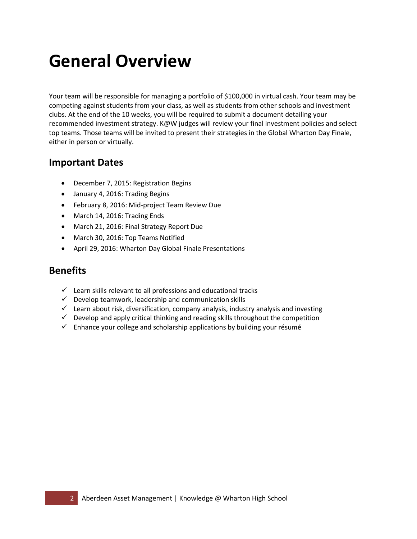# **General Overview**

Your team will be responsible for managing a portfolio of \$100,000 in virtual cash. Your team may be competing against students from your class, as well as students from other schools and investment clubs. At the end of the 10 weeks, you will be required to submit a document detailing your recommended investment strategy. K@W judges will review your final investment policies and select top teams. Those teams will be invited to present their strategies in the Global Wharton Day Finale, either in person or virtually.

#### **Important Dates**

- December 7, 2015: Registration Begins
- January 4, 2016: Trading Begins
- February 8, 2016: Mid-project Team Review Due
- March 14, 2016: Trading Ends
- March 21, 2016: Final Strategy Report Due
- March 30, 2016: Top Teams Notified
- April 29, 2016: Wharton Day Global Finale Presentations

#### **Benefits**

- $\checkmark$  Learn skills relevant to all professions and educational tracks
- $\checkmark$  Develop teamwork, leadership and communication skills
- $\checkmark$  Learn about risk, diversification, company analysis, industry analysis and investing
- $\checkmark$  Develop and apply critical thinking and reading skills throughout the competition
- $\checkmark$  Enhance your college and scholarship applications by building your résumé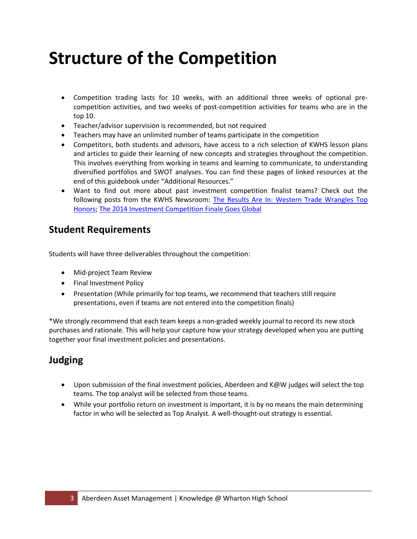# **Structure of the Competition**

- Competition trading lasts for 10 weeks, with an additional three weeks of optional precompetition activities, and two weeks of post-competition activities for teams who are in the top 10.
- Teacher/advisor supervision is recommended, but not required
- Teachers may have an unlimited number of teams participate in the competition
- Competitors, both students and advisors, have access to a rich selection of KWHS lesson plans and articles to guide their learning of new concepts and strategies throughout the competition. This involves everything from working in teams and learning to communicate, to understanding diversified portfolios and SWOT analyses. You can find these pages of linked resources at the end of this guidebook under "Additional Resources."
- Want to find out more about past investment competition finalist teams? Check out the following posts from the KWHS Newsroom: [The Results Are In: Western Trade Wrangles Top](http://kwhs.wharton.upenn.edu/news/the-results-are-in-western-trade-wrangles-top-honors/)  [Honors;](http://kwhs.wharton.upenn.edu/news/the-results-are-in-western-trade-wrangles-top-honors/) [The 2014 Investment Competition Finale Goes Global](http://kwhs.wharton.upenn.edu/news/2014-investment-competition-finale-goes-global/)

#### **Student Requirements**

Students will have three deliverables throughout the competition:

- Mid-project Team Review
- Final Investment Policy
- Presentation (While primarily for top teams, we recommend that teachers still require presentations, even if teams are not entered into the competition finals)

\*We strongly recommend that each team keeps a non-graded weekly journal to record its new stock purchases and rationale. This will help your capture how your strategy developed when you are putting together your final investment policies and presentations.

## **Judging**

- Upon submission of the final investment policies, Aberdeen and K@W judges will select the top teams. The top analyst will be selected from those teams.
- While your portfolio return on investment is important, it is by no means the main determining factor in who will be selected as Top Analyst. A well-thought-out strategy is essential.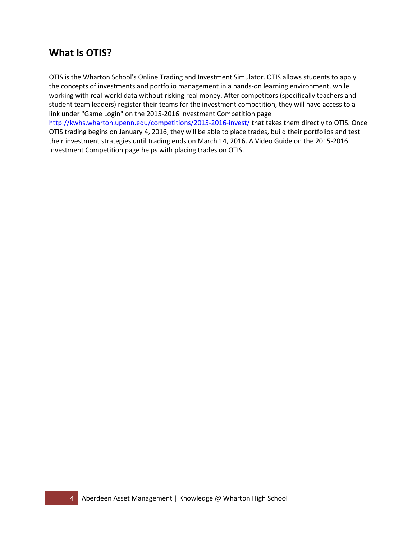## **What Is OTIS?**

OTIS is the Wharton School's Online Trading and Investment Simulator. OTIS allows students to apply the concepts of investments and portfolio management in a hands-on learning environment, while working with real-world data without risking real money. After competitors (specifically teachers and student team leaders) register their teams for the investment competition, they will have access to a link under "Game Login" on the 2015-2016 Investment Competition page <http://kwhs.wharton.upenn.edu/competitions/2015-2016-invest/> that takes them directly to OTIS. Once OTIS trading begins on January 4, 2016, they will be able to place trades, build their portfolios and test their investment strategies until trading ends on March 14, 2016. A Video Guide on the 2015-2016 Investment Competition page helps with placing trades on OTIS.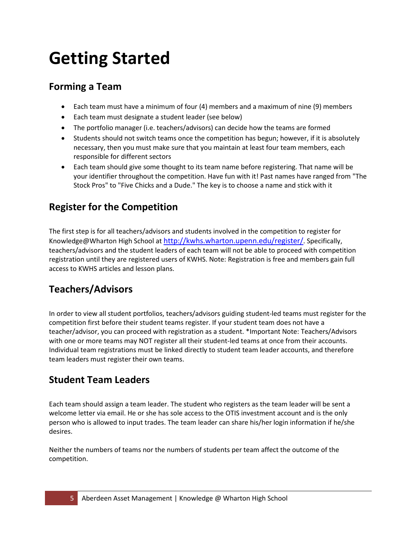# **Getting Started**

## **Forming a Team**

- Each team must have a minimum of four (4) members and a maximum of nine (9) members
- Each team must designate a student leader (see below)
- The portfolio manager (i.e. teachers/advisors) can decide how the teams are formed
- Students should not switch teams once the competition has begun; however, if it is absolutely necessary, then you must make sure that you maintain at least four team members, each responsible for different sectors
- Each team should give some thought to its team name before registering. That name will be your identifier throughout the competition. Have fun with it! Past names have ranged from "The Stock Pros" to "Five Chicks and a Dude." The key is to choose a name and stick with it

# **Register for the Competition**

The first step is for all teachers/advisors and students involved in the competition to register for Knowledge@Wharton High School at [http://kwhs.wharton.upenn.edu/register/.](http://kwhs.wharton.upenn.edu/register/) Specifically, teachers/advisors and the student leaders of each team will not be able to proceed with competition registration until they are registered users of KWHS. Note: Registration is free and members gain full access to KWHS articles and lesson plans.

# **Teachers/Advisors**

In order to view all student portfolios, teachers/advisors guiding student-led teams must register for the competition first before their student teams register. If your student team does not have a teacher/advisor, you can proceed with registration as a student. \*Important Note: Teachers/Advisors with one or more teams may NOT register all their student-led teams at once from their accounts. Individual team registrations must be linked directly to student team leader accounts, and therefore team leaders must register their own teams.

## **Student Team Leaders**

Each team should assign a team leader. The student who registers as the team leader will be sent a welcome letter via email. He or she has sole access to the OTIS investment account and is the only person who is allowed to input trades. The team leader can share his/her login information if he/she desires.

Neither the numbers of teams nor the numbers of students per team affect the outcome of the competition.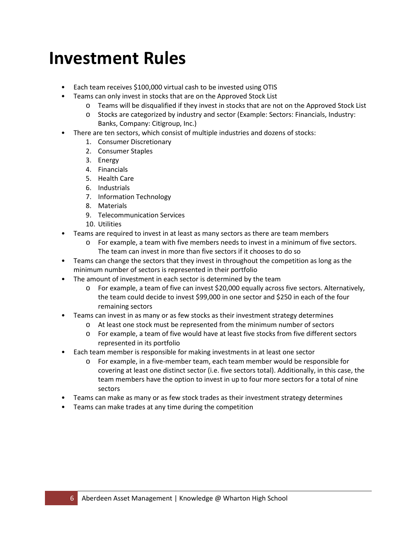# **Investment Rules**

- Each team receives \$100,000 virtual cash to be invested using OTIS
- Teams can only invest in stocks that are on the Approved Stock List
	- o Teams will be disqualified if they invest in stocks that are not on the Approved Stock List
	- o Stocks are categorized by industry and sector (Example: Sectors: Financials, Industry: Banks, Company: Citigroup, Inc.)
	- There are ten sectors, which consist of multiple industries and dozens of stocks:
		- 1. Consumer Discretionary
		- 2. Consumer Staples
		- 3. Energy
		- 4. Financials
		- 5. Health Care
		- 6. Industrials
		- 7. Information Technology
		- 8. Materials
		- 9. Telecommunication Services
		- 10. Utilities
- Teams are required to invest in at least as many sectors as there are team members
	- o For example, a team with five members needs to invest in a minimum of five sectors. The team can invest in more than five sectors if it chooses to do so
- Teams can change the sectors that they invest in throughout the competition as long as the minimum number of sectors is represented in their portfolio
- The amount of investment in each sector is determined by the team
	- o For example, a team of five can invest \$20,000 equally across five sectors. Alternatively, the team could decide to invest \$99,000 in one sector and \$250 in each of the four remaining sectors
- Teams can invest in as many or as few stocks as their investment strategy determines
	- o At least one stock must be represented from the minimum number of sectors
	- o For example, a team of five would have at least five stocks from five different sectors represented in its portfolio
- Each team member is responsible for making investments in at least one sector
	- o For example, in a five-member team, each team member would be responsible for covering at least one distinct sector (i.e. five sectors total). Additionally, in this case, the team members have the option to invest in up to four more sectors for a total of nine sectors
- Teams can make as many or as few stock trades as their investment strategy determines
- Teams can make trades at any time during the competition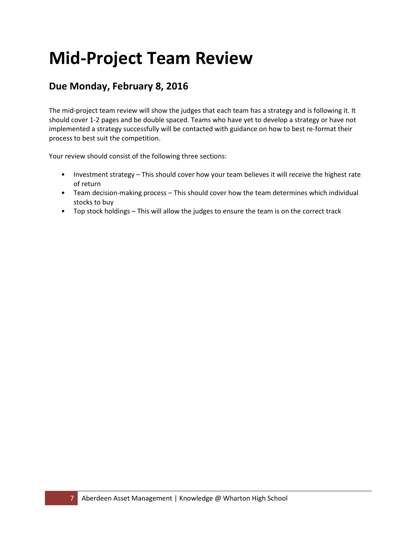# **Mid-Project Team Review**

## **Due Monday, February 8, 2016**

The mid-project team review will show the judges that each team has a strategy and is following it. It should cover 1-2 pages and be double spaced. Teams who have yet to develop a strategy or have not implemented a strategy successfully will be contacted with guidance on how to best re-format their process to best suit the competition.

Your review should consist of the following three sections:

- Investment strategy This should cover how your team believes it will receive the highest rate of return
- Team decision-making process This should cover how the team determines which individual stocks to buy
- Top stock holdings This will allow the judges to ensure the team is on the correct track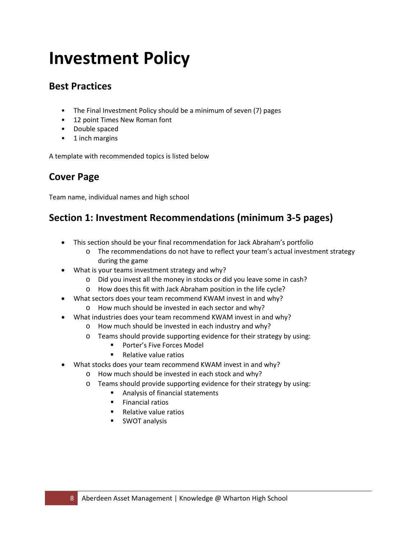# **Investment Policy**

## **Best Practices**

- The Final Investment Policy should be a minimum of seven (7) pages
- 12 point Times New Roman font
- Double spaced
- 1 inch margins

A template with recommended topics is listed below

# **Cover Page**

Team name, individual names and high school

## **Section 1: Investment Recommendations (minimum 3-5 pages)**

- This section should be your final recommendation for Jack Abraham's portfolio
	- o The recommendations do not have to reflect your team's actual investment strategy during the game
- What is your teams investment strategy and why?
	- o Did you invest all the money in stocks or did you leave some in cash?
	- o How does this fit with Jack Abraham position in the life cycle?
- What sectors does your team recommend KWAM invest in and why?
	- o How much should be invested in each sector and why?
- What industries does your team recommend KWAM invest in and why?
	- o How much should be invested in each industry and why?
	- o Teams should provide supporting evidence for their strategy by using:
		- **Porter's Five Forces Model**
		- **Relative value ratios**
- What stocks does your team recommend KWAM invest in and why?
	- o How much should be invested in each stock and why?
	- o Teams should provide supporting evidence for their strategy by using:<br>Analysis of financial statements
		- Analysis of financial statements
		- **Financial ratios**
		- Relative value ratios
		- **SWOT analysis**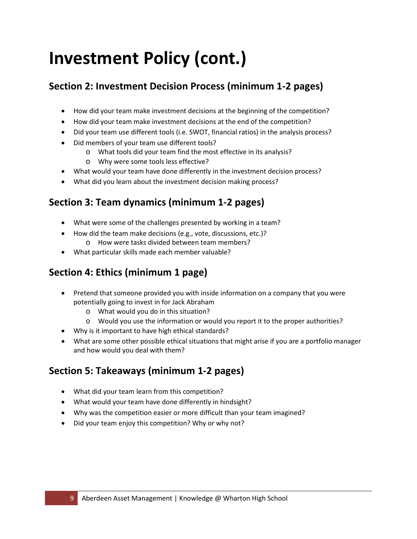# **Investment Policy (cont.)**

# **Section 2: Investment Decision Process (minimum 1-2 pages)**

- How did your team make investment decisions at the beginning of the competition?
- How did your team make investment decisions at the end of the competition?
- Did your team use different tools (i.e. SWOT, financial ratios) in the analysis process?
- Did members of your team use different tools?
	- o What tools did your team find the most effective in its analysis?
	- o Why were some tools less effective?
- What would your team have done differently in the investment decision process?
- What did you learn about the investment decision making process?

# **Section 3: Team dynamics (minimum 1-2 pages)**

- What were some of the challenges presented by working in a team?
- How did the team make decisions (e.g., vote, discussions, etc.)? o How were tasks divided between team members?
- What particular skills made each member valuable?

# **Section 4: Ethics (minimum 1 page)**

- Pretend that someone provided you with inside information on a company that you were potentially going to invest in for Jack Abraham
	- o What would you do in this situation?
	- o Would you use the information or would you report it to the proper authorities?
- Why is it important to have high ethical standards?
- What are some other possible ethical situations that might arise if you are a portfolio manager and how would you deal with them?

# **Section 5: Takeaways (minimum 1-2 pages)**

- What did your team learn from this competition?
- What would your team have done differently in hindsight?
- Why was the competition easier or more difficult than your team imagined?
- Did your team enjoy this competition? Why or why not?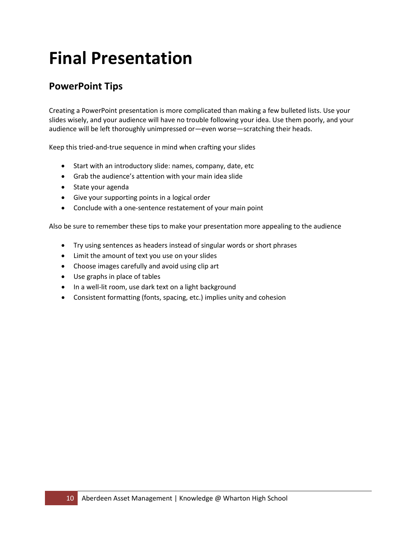# **Final Presentation**

# **PowerPoint Tips**

Creating a PowerPoint presentation is more complicated than making a few bulleted lists. Use your slides wisely, and your audience will have no trouble following your idea. Use them poorly, and your audience will be left thoroughly unimpressed or—even worse—scratching their heads.

Keep this tried-and-true sequence in mind when crafting your slides

- Start with an introductory slide: names, company, date, etc
- Grab the audience's attention with your main idea slide
- State your agenda
- Give your supporting points in a logical order
- Conclude with a one-sentence restatement of your main point

Also be sure to remember these tips to make your presentation more appealing to the audience

- Try using sentences as headers instead of singular words or short phrases
- Limit the amount of text you use on your slides
- Choose images carefully and avoid using clip art
- Use graphs in place of tables
- In a well-lit room, use dark text on a light background
- Consistent formatting (fonts, spacing, etc.) implies unity and cohesion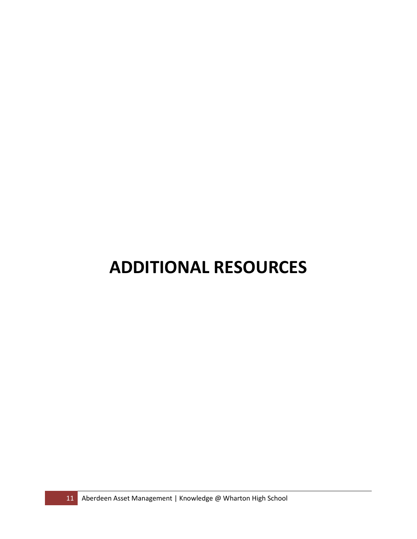# **ADDITIONAL RESOURCES**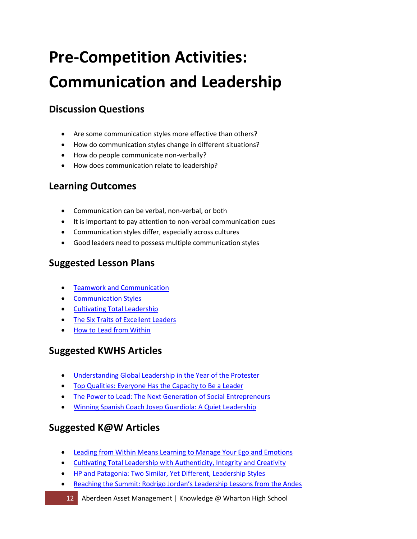# **Pre-Competition Activities: Communication and Leadership**

# **Discussion Questions**

- Are some communication styles more effective than others?
- How do communication styles change in different situations?
- How do people communicate non-verbally?
- How does communication relate to leadership?

# **Learning Outcomes**

- Communication can be verbal, non-verbal, or both
- It is important to pay attention to non-verbal communication cues
- Communication styles differ, especially across cultures
- Good leaders need to possess multiple communication styles

# **Suggested Lesson Plans**

- **Teamwork and Communication**
- [Communication Styles](http://kwhs.wharton.upenn.edu/lesson_plans/communication-styles/)
- [Cultivating Total Leadership](http://kwhs.wharton.upenn.edu/?s=Cultivating+Total+Leadership&lang=en)
- [The Six Traits of Excellent Leaders](http://kwhs.wharton.upenn.edu/lesson_plans/the-six-traits-of-excellent-leaders/)
- [How to Lead from Within](http://kwhs.wharton.upenn.edu/lesson_plans/how-to-lead-from-within/)

## **Suggested KWHS Articles**

- [Understanding Global Leadership in the Year of the Protester](http://kwhs.wharton.upenn.edu/2011/12/understanding-global-leadership-in-the-year-of-the-protester/)
- [Top Qualities: Everyone Has the Capacity to Be a Leader](http://kwhs.wharton.upenn.edu/2011/11/top-qualities-‘everyone-has-the-capacity-to-be-a-leader’/)
- [The Power to Lead: The Next Generation of Social Entrepreneurs](http://kwhs.wharton.upenn.edu/2012/05/the-power-to-lead-the-next-generation-of-social-entrepreneurs/)
- [Winning Spanish Coach Josep Guardiola: A Quiet Leadership](http://kwhs.wharton.upenn.edu/2011/04/winning-spanish-coach-josep-guardiola-a-quiet-leadership/)

- **Leading from Within Means Learning to Manage Your Ego and Emotions**
- [Cultivating Total Leadership with Authenticity, Integrity and Creativity](http://knowledge.wharton.upenn.edu/article.cfm?articleid=673)
- [HP and Patagonia: Two Similar, Yet Different, Leadership Styles](http://knowledge.wharton.upenn.edu/article.cfm?articleid=1153)
- [Reaching the Summit: Rodrigo Jordan's Leadership Lessons from the Andes](http://knowledge.wharton.upenn.edu/10000women/article.cfm?articleid=6174)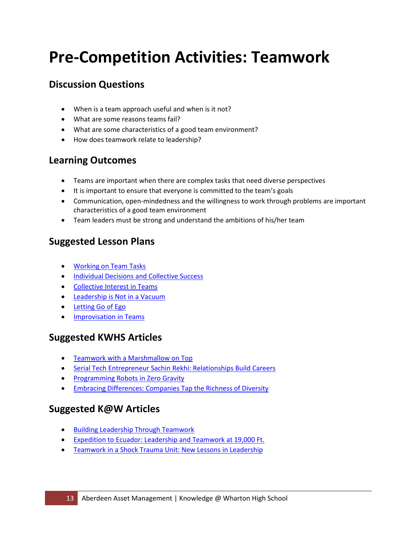# **Pre-Competition Activities: Teamwork**

## **Discussion Questions**

- When is a team approach useful and when is it not?
- What are some reasons teams fail?
- What are some characteristics of a good team environment?
- How does teamwork relate to leadership?

## **Learning Outcomes**

- Teams are important when there are complex tasks that need diverse perspectives
- It is important to ensure that everyone is committed to the team's goals
- Communication, open-mindedness and the willingness to work through problems are important characteristics of a good team environment
- Team leaders must be strong and understand the ambitions of his/her team

## **Suggested Lesson Plans**

- [Working on Team Tasks](http://kwhs.wharton.upenn.edu/lesson_plans/working-on-team-tasks/)
- [Individual Decisions and Collective Success](http://kwhs.wharton.upenn.edu/lesson_plans/individual-decisions-and-collective-success/)
- [Collective Interest in Teams](http://kwhs.wharton.upenn.edu/lesson_plans/collective-interest-in-teams/)
- [Leadership is Not in a Vacuum](http://kwhs.wharton.upenn.edu/lesson_plans/leadership-is-not-in-a-vacuum/)
- [Letting Go of Ego](http://kwhs.wharton.upenn.edu/lesson_plans/letting-go-of-ego/)
- Improvisation in Teams

### **Suggested KWHS Articles**

- [Teamwork with a Marshmallow on Top](http://kwhs.wharton.upenn.edu/2012/02/teamwork-with-a-marshmallow-on-top/)
- [Serial Tech Entrepreneur Sachin Rekhi: Relationships Build Careers](http://kwhs.wharton.upenn.edu/2012/03/serial-tech-entrepreneur-sachin-rekhi-relationships-build-careers/)
- Programming Robots in Zero Gravity
- Embracing Differences: Companies Tap the Richness of Diversity

- [Building Leadership Through Teamwork](http://knowledge.wharton.upenn.edu/article.cfm?articleid=28)
- [Expedition to Ecuador: Leadership and Teamwork at 19,000 Ft.](http://knowledge.wharton.upenn.edu/article.cfm?articleid=534)
- [Teamwork in a Shock Trauma Unit: New Lessons in Leadership](http://knowledge.wharton.upenn.edu/article.cfm?articleid=1048)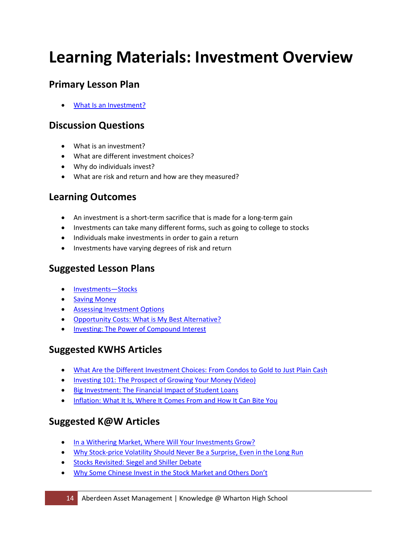# **Learning Materials: Investment Overview**

## **Primary Lesson Plan**

• [What Is an Investment?](http://kwhs.wharton.upenn.edu/lesson_plans/what-is-an-investment/) 

## **Discussion Questions**

- What is an investment?
- What are different investment choices?
- Why do individuals invest?
- What are risk and return and how are they measured?

## **Learning Outcomes**

- An investment is a short-term sacrifice that is made for a long-term gain
- Investments can take many different forms, such as going to college to stocks
- Individuals make investments in order to gain a return
- Investments have varying degrees of risk and return

## **Suggested Lesson Plans**

- [Investments—Stocks](http://kwhs.wharton.upenn.edu/lesson_plans/investments-–-stocks/)
- Saving Money
- [Assessing Investment Options](http://kwhs.wharton.upenn.edu/lesson_plans/assessing-investment-options/)
- [Opportunity Costs: What is My Best Alternative?](http://kwhs.wharton.upenn.edu/lesson_plans/opportunity-costs/)
- [Investing: The Power of Compound Interest](http://kwhs.wharton.upenn.edu/lesson_plans/investing-the-power-of-compound-interest/)

### **Suggested KWHS Articles**

- [What Are the Different Investment Choices: From Condos to Gold to Just Plain Cash](http://kwhs.wharton.upenn.edu/2012/03/what-are-the-different-investment-choices-from-condos-to-gold-to-just-plain-cash/)
- [Investing 101: The Prospect of Growing Your Money \(Video\)](http://kwhs.wharton.upenn.edu/2012/03/investing-101-the-prospect-of-growing-your-money/)
- [Big Investment: The Financial Impact of Student Loans](http://kwhs.wharton.upenn.edu/2011/09/big-investment-the-financial-impact-of-student-loans/)
- [Inflation: What It Is, Where It Comes From and How It Can Bite You](http://kwhs.wharton.upenn.edu/2011/07/inflation-what-it-is-where-it-comes-from-and-how-it-can-bite-you/)

- In [a Withering Market, Where Will Your Investments Grow?](http://knowledge.wharton.upenn.edu/article.cfm?articleid=2596)
- [Why Stock-price Volatility Should Never Be a Surprise, Even in the Long Run](http://knowledge.wharton.upenn.edu/article.cfm?articleid=2229)
- [Stocks Revisited: Siegel and Shiller Debate](http://knowledge.wharton.upenn.edu/article.cfm?articleid=577)
- [Why Some Chinese Invest in the Stock Market and Others Don't](http://www.knowledgeatwharton.com.cn/index.cfm?fa=printArticle&articleID=1610&languageid=1)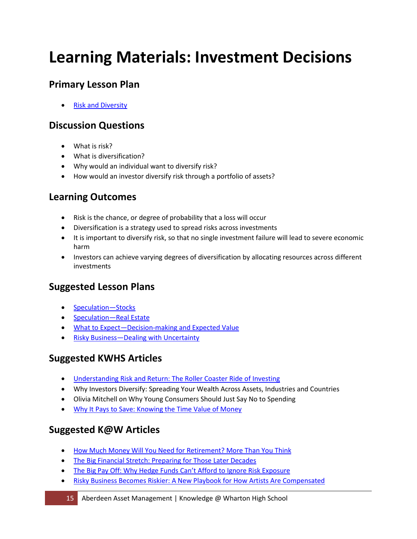# **Learning Materials: Investment Decisions**

## **Primary Lesson Plan**

• [Risk and Diversity](http://kwhs.wharton.upenn.edu/lesson_plans/risk-and-diversity/) 

## **Discussion Questions**

- What is risk?
- What is diversification?
- Why would an individual want to diversify risk?
- How would an investor diversify risk through a portfolio of assets?

## **Learning Outcomes**

- Risk is the chance, or degree of probability that a loss will occur
- Diversification is a strategy used to spread risks across investments
- It is important to diversify risk, so that no single investment failure will lead to severe economic harm
- Investors can achieve varying degrees of diversification by allocating resources across different investments

### **Suggested Lesson Plans**

- [Speculation—Stocks](http://kwhs.wharton.upenn.edu/lesson_plans/speculation-stocks/)
- [Speculation—Real Estate](http://kwhs.wharton.upenn.edu/lesson_plans/speculation-real-estate/)
- [What to Expect—Decision-making and Expected Value](http://kwhs.wharton.upenn.edu/lesson_plans/what-to-expect-decision-making-and-expected-value/)
- [Risky Business—Dealing with Uncertainty](http://kwhs.wharton.upenn.edu/lesson_plans/risky-business-dealing-with-uncertainty/)

## **Suggested KWHS Articles**

- [Understanding Risk and Return: The Roller Coaster Ride of Investing](http://kwhs.wharton.upenn.edu/2012/03/understanding-risk-and-return-the-roller-coaster-ride-of-investing/)
- Why Investors Diversify: Spreading Your Wealth Across Assets, Industries and Countries
- Olivia Mitchell on Why Young Consumers Should Just Say No to Spending
- [Why It Pays to Save: Knowing the Time Value of Money](http://kwhs.wharton.upenn.edu/2011/08/why-it-pays-to-save-knowing-the-time-value-of-money/)

- [How Much Money Will You Need for Retirement? More Than You Think](http://knowledge.wharton.upenn.edu/article.cfm?articleid=835)
- The Big Financial Stretch: Preparing for Those Later Decades
- [The Big Pay Off: Why Hedge Funds Can't Afford to Ignore Risk Exposure](http://knowledge.wharton.upenn.edu/article.cfm?articleid=2648)
- [Risky Business Becomes Riskier: A New Playbook for How Artists Are Compensated](http://knowledge.wharton.upenn.edu/article.cfm?articleid=2715)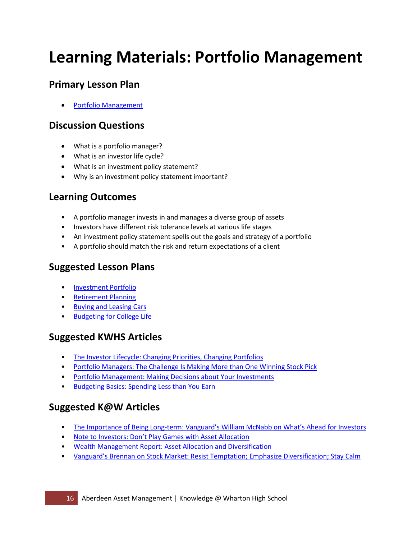# **Learning Materials: Portfolio Management**

## **Primary Lesson Plan**

• [Portfolio Management](http://kwhs.wharton.upenn.edu/lesson_plans/portfolio-management/) 

## **Discussion Questions**

- What is a portfolio manager?
- What is an investor life cycle?
- What is an investment policy statement?
- Why is an investment policy statement important?

## **Learning Outcomes**

- A portfolio manager invests in and manages a diverse group of assets
- Investors have different risk tolerance levels at various life stages
- An investment policy statement spells out the goals and strategy of a portfolio
- A portfolio should match the risk and return expectations of a client

## **Suggested Lesson Plans**

- [Investment Portfolio](http://kwhs.wharton.upenn.edu/lesson_plans/investment-portfolio/)
- [Retirement Planning](http://kwhs.wharton.upenn.edu/lesson_plans/retirement-planning/)
- [Buying and Leasing Cars](http://kwhs.wharton.upenn.edu/lesson_plans/buying-and-leasing-cars/)
- [Budgeting for College Life](http://kwhs.wharton.upenn.edu/lesson_plans/budgeting-for-college-life/)

### **Suggested KWHS Articles**

- [The Investor Lifecycle: Changing Priorities, Changing Portfolios](https://kwhs.wharton.upenn.edu/2012/02/the-investor-lifecycle-changing-priorities-changing-portfolios/)
- Portfolio Managers: The Challenge Is Making More than One Winning Stock Pick
- [Portfolio Management: Making Decisions about Your Investments](http://kwhs.wharton.upenn.edu/2012/03/portfolio-management-making-decisions-about-your-investments/)
- [Budgeting Basics: Spending](http://kwhs.wharton.upenn.edu/2012/05/budgeting-basics-spending-less-than-you-earn/) Less than You Earn

- The Importance of Being Long-term: Vanguard's William McNabb on What's Ahead for Investors
- [Note to Investors: Don't Play Games with Asset Allocation](http://knowledge.wharton.upenn.edu/article.cfm?articleid=2049)
- [Wealth Management Report: Asset Allocation and Diversification](http://knowledge.wharton.upenn.edu/article.cfm?articleid=984)
- [Vanguard's Brennan on Stock Market: Resist Temptation; Emphasize Diversification; Stay Calm](http://knowledge.wharton.upenn.edu/article.cfm?articleid=187)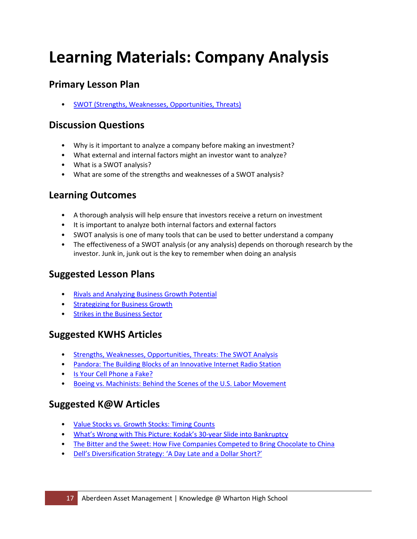# **Learning Materials: Company Analysis**

## **Primary Lesson Plan**

• [SWOT \(Strengths, Weaknesses, Opportunities, Threats\)](http://kwhs.wharton.upenn.edu/lesson_plans/swot-strengths-weaknesses-opportunities-threats/) 

#### **Discussion Questions**

- Why is it important to analyze a company before making an investment?
- What external and internal factors might an investor want to analyze?
- What is a SWOT analysis?
- What are some of the strengths and weaknesses of a SWOT analysis?

## **Learning Outcomes**

- A thorough analysis will help ensure that investors receive a return on investment
- It is important to analyze both internal factors and external factors
- SWOT analysis is one of many tools that can be used to better understand a company
- The effectiveness of a SWOT analysis (or any analysis) depends on thorough research by the investor. Junk in, junk out is the key to remember when doing an analysis

## **Suggested Lesson Plans**

- [Rivals and Analyzing Business Growth Potential](http://kwhs.wharton.upenn.edu/lesson_plans/rivals-and-analyzing-business-growth-potential/)
- [Strategizing for Business Growth](http://kwhs.wharton.upenn.edu/lesson_plans/strategizing-for-business-growth/)
- [Strikes in the Business Sector](http://kwhs.wharton.upenn.edu/lesson_plans/strikes-in-the-business-sector/)

### **Suggested KWHS Articles**

- [Strengths, Weaknesses, Opportunities, Threats: The SWOT Analysis](http://kwhs.wharton.upenn.edu/2012/03/strengths-weaknesses-opportunities-threats-the-swot-analysis/)
- [Pandora: The Building Blocks of an Innovative Internet Radio Station](http://kwhs.wharton.upenn.edu/2011/08/pandora-the-building-blocks-of-an-innovative-internet-radio-station/)
- [Is Your Cell Phone a Fake?](http://kwhs.wharton.upenn.edu/2012/02/is-your-cell-phone-a-fake/)
- [Boeing vs. Machinists: Behind the Scenes of the U.S. Labor Movement](http://kwhs.wharton.upenn.edu/2011/12/boeing-vs-the-machinists-behind-the-scenes-of-the-u-s-labor-movement/)

- [Value Stocks vs. Growth Stocks: Timing Counts](http://knowledge.wharton.upenn.edu/article.cfm?articleid=890)
- [What's Wrong with This Picture: Kodak's 30-year Slide into Bankruptcy](http://knowledge.wharton.upenn.edu/article.cfm?articleid=2935)
- The Bitter and the Sweet: How Five Companies Competed to Bring Chocolate to China
- [Dell's Diversification Strategy: 'A Day Late and a Dollar Short?'](http://knowledge.wharton.upenn.edu/article.cfm?articleid=2584)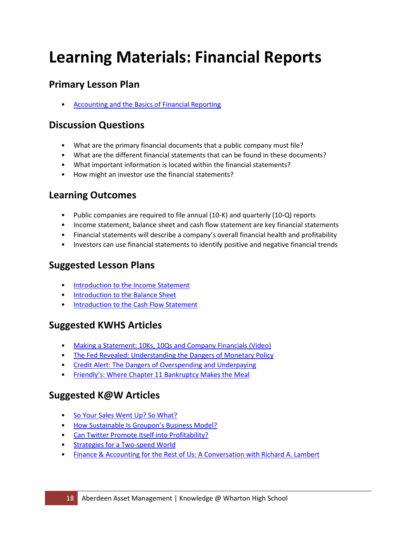# **Learning Materials: Financial Reports**

## **Primary Lesson Plan**

• [Accounting and the Basics of Financial Reporting](http://kwhs.wharton.upenn.edu/lesson_plans/accounting-and-the-basics-of-financial-reporting/) 

### **Discussion Questions**

- What are the primary financial documents that a public company must file?
- What are the different financial statements that can be found in these documents?
- What important information is located within the financial statements?
- How might an investor use the financial statements?

## **Learning Outcomes**

- Public companies are required to file annual (10-K) and quarterly (10-Q) reports
- Income statement, balance sheet and cash flow statement are key financial statements
- Financial statements will describe a company's overall financial health and profitability
- Investors can use financial statements to identify positive and negative financial trends

## **Suggested Lesson Plans**

- [Introduction to the Income Statement](http://kwhs.wharton.upenn.edu/lesson_plans/income-statement/)
- [Introduction to the Balance Sheet](http://kwhs.wharton.upenn.edu/lesson_plans/balance-sheet/)
- [Introduction to the Cash Flow Statement](http://kwhs.wharton.upenn.edu/lesson_plans/cash-flow/)

### **Suggested KWHS Articles**

- [Making a Statement: 10Ks, 10Qs and Company Financials \(Video\)](http://kwhs.wharton.upenn.edu/2012/03/making-a-statement-10-ks-10-qs-and-company-financials/)
- The Fed Revealed: Understanding the Dangers of Monetary Policy
- [Credit Alert: The Dangers of Overspending and Underpaying](http://kwhs.wharton.upenn.edu/2012/07/credit-alert-the-dangers-of-overspending-and-underpaying/)
- [Friendly's: Where Chapter 11 Bankruptcy Makes the Meal](http://kwhs.wharton.upenn.edu/2011/10/friendly’s-where-chapter-11-bankruptcy-makes-the-meal/)

- So Your Sales Went Up? So What?
- [How Sustainable Is Groupon's Business Model?](http://knowledge.wharton.upenn.edu/article.cfm?articleid=2784)
- [Can Twitter Promote Itself into Profitability?](http://knowledge.wharton.upenn.edu/article.cfm?articleid=2500)
- [Strategies for a Two-speed World](http://knowledge.wharton.upenn.edu/article.cfm?articleid=2681)
- [Finance & Accounting for the Rest of Us: A Conversation with Richard A. Lambert](http://knowledge.wharton.upenn.edu/article.cfm?articleid=2876)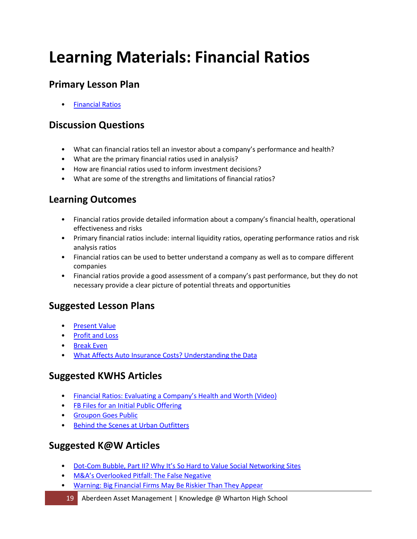# **Learning Materials: Financial Ratios**

## **Primary Lesson Plan**

• [Financial Ratios](http://kwhs.wharton.upenn.edu/lesson_plans/financial-ratios/) 

#### **Discussion Questions**

- What can financial ratios tell an investor about a company's performance and health?
- What are the primary financial ratios used in analysis?
- How are financial ratios used to inform investment decisions?
- What are some of the strengths and limitations of financial ratios?

## **Learning Outcomes**

- Financial ratios provide detailed information about a company's financial health, operational effectiveness and risks
- Primary financial ratios include: internal liquidity ratios, operating performance ratios and risk analysis ratios
- Financial ratios can be used to better understand a company as well as to compare different companies
- Financial ratios provide a good assessment of a company's past performance, but they do not necessary provide a clear picture of potential threats and opportunities

### **Suggested Lesson Plans**

- [Present Value](http://kwhs.wharton.upenn.edu/lesson_plans/present-value/)
- [Profit and Loss](http://kwhs.wharton.upenn.edu/lesson_plans/profit-and-loss/)
- [Break Even](http://kwhs.wharton.upenn.edu/lesson_plans/break-even-–-fixed-and-variable-expenses/)
- [What Affects Auto Insurance Costs? Understanding the Data](http://kwhs.wharton.upenn.edu/lesson_plans/what-affects-auto-insurance-costs-understanding-the-data/)

### **Suggested KWHS Articles**

- [Financial Ratios: Evaluating a Company's Health and Worth \(Video\)](http://kwhs.wharton.upenn.edu/2012/03/financial-ratios-evaluating-a-companys-health-and-worth/)
- [FB Files for an Initial Public Offering](http://kwhs.wharton.upenn.edu/2012/02/fb-files-for-an-initial-public-offering-2/)
- [Groupon Goes Public](http://kwhs.wharton.upenn.edu/2011/11/groupon-goes-public/)
- [Behind the Scenes at Urban Outfitters](http://kwhs.wharton.upenn.edu/2011/06/behind-the-scenes-at-urban-outfitters/)

### **Suggested K@W Articles**

- [Dot-Com Bubble, Part II? Why It's So Hard to](http://knowledge.wharton.upenn.edu/article.cfm?articleid=1570) Value Social Networking Sites
- [M&A's Overlooked Pitfall: The False Negative](http://knowledge.wharton.upenn.edu/article.cfm?articleid=2722)
- Warning: Big Financial [Firms May Be Riskier Than They Appear](http://knowledge.wharton.upenn.edu/article.cfm?articleid=2259)

#### 19 Aberdeen Asset Management | Knowledge @ Wharton High School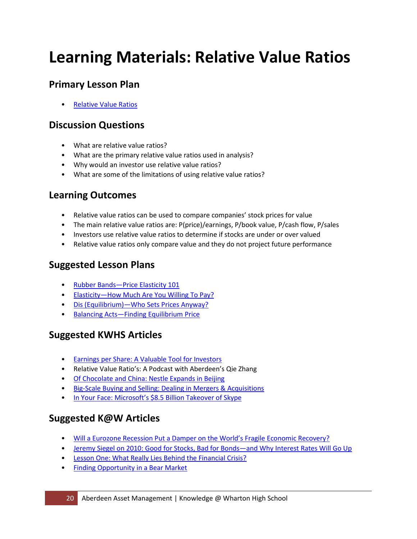# **Learning Materials: Relative Value Ratios**

## **Primary Lesson Plan**

• [Relative Value Ratios](http://kwhs.wharton.upenn.edu/lesson_plans/relative-value-ratios/) 

### **Discussion Questions**

- What are relative value ratios?
- What are the primary relative value ratios used in analysis?
- Why would an investor use relative value ratios?
- What are some of the limitations of using relative value ratios?

## **Learning Outcomes**

- Relative value ratios can be used to compare companies' stock prices for value
- The main relative value ratios are: P(price)/earnings, P/book value, P/cash flow, P/sales
- Investors use relative value ratios to determine if stocks are under or over valued
- Relative value ratios only compare value and they do not project future performance

### **Suggested Lesson Plans**

- [Rubber Bands—Price Elasticity 101](http://kwhs.wharton.upenn.edu/lesson_plans/rubber-bands/)
- [Elasticity—How Much Are You Willing To Pay?](http://kwhs.wharton.upenn.edu/lesson_plans/elasticity/)
- [Dis \(Equilibrium\)—Who Sets Prices Anyway?](http://kwhs.wharton.upenn.edu/lesson_plans/disequilibrium/)
- [Balancing Acts—Finding Equilibrium Price](http://kwhs.wharton.upenn.edu/lesson_plans/balancing-acts/)

### **Suggested KWHS Articles**

- [Earnings per Share: A Valuable Tool for Investors](http://www.youtube.com/watch%3Fv%3DtU-6wITFsF0)
- Relative Value Ratio's: A Podcast with Aberdeen's Qie Zhang
- [Of Chocolate and China: Nestle Expands in Beijing](http://kwhs.wharton.upenn.edu/2011/12/of-chocolate-and-china-nestle-expands-in-beijing/)
- [Big-Scale Buying and Selling: Dealing in Mergers & Acquisitions](http://kwhs.wharton.upenn.edu/2011/05/big-scale-buying-and-selling-dealing-in-mergers-acquisitions/)
- [In Your Face: Microsoft's \\$8.5 Billion Takeover of Skype](http://kwhs.wharton.upenn.edu/2011/05/in-your-face-microsoft’s-8-5-billion-takeover-of-skype/)

- [Will a Eurozone Recession Put a Damper on the World's Fragile Economic Recovery?](http://knowledge.wharton.upenn.edu/article.cfm?articleid=2894)
- [Jeremy Siegel on 2010: Good for Stocks, Bad for Bonds—and Why Interest Rates Will Go Up](http://knowledge.wharton.upenn.edu/article.cfm?articleid=2411)
- [Lesson One: What Really Lies Behind the Financial Crisis?](http://knowledge.wharton.upenn.edu/article.cfm?articleid=2148)
- [Finding Opportunity in a Bear Market](http://knowledge.wharton.upenn.edu/article.cfm?articleid=2069)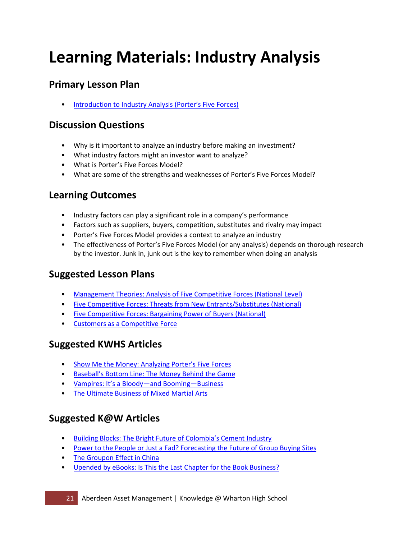# **Learning Materials: Industry Analysis**

## **Primary Lesson Plan**

**Introduction to Industry Analysis (Porter's Five Forces)** 

#### **Discussion Questions**

- Why is it important to analyze an industry before making an investment?
- What industry factors might an investor want to analyze?
- What is Porter's Five Forces Model?
- What are some of the strengths and weaknesses of Porter's Five Forces Model?

### **Learning Outcomes**

- Industry factors can play a significant role in a company's performance
- Factors such as suppliers, buyers, competition, substitutes and rivalry may impact
- Porter's Five Forces Model provides a context to analyze an industry
- The effectiveness of Porter's Five Forces Model (or any analysis) depends on thorough research by the investor. Junk in, junk out is the key to remember when doing an analysis

### **Suggested Lesson Plans**

- [Management Theories: Analysis of Five Competitive Forces \(National Level\)](http://kwhs.wharton.upenn.edu/lesson_plans/management-theories-analysis-of-five-competitive-forces-national-level/)
- [Five Competitive Forces: Threats from New Entrants/Substitutes \(National\)](http://kwhs.wharton.upenn.edu/lesson_plans/five-competitive-forces-threats-from-new-entrantssubstitutes-national/)
- [Five Competitive Forces: Bargaining Power of Buyers \(National\)](http://kwhs.wharton.upenn.edu/lesson_plans/five-competitive-forces-bargaining-power-of-buyers-national/)
- [Customers as a Competitive Force](http://kwhs.wharton.upenn.edu/lesson_plans/customers-as-a-competitive-force/)

### **Suggested KWHS Articles**

- [Show Me the Money: Analyzing Porter's Five Forces](http://kwhs.wharton.upenn.edu/2012/03/show-me-the-money-analyzing-porters-five-forces/)
- [Baseball's Bottom Line: The Money Behind the Game](http://kwhs.wharton.upenn.edu/2011/05/baseball’s-bottom-line-the-money-behind-the-game/)
- [Vampires: It's a Bloody—and Booming—Business](http://kwhs.wharton.upenn.edu/2011/01/vampires-it’s-a-bloody-–-and-booming-–-business/)
- [The Ultimate Business of Mixed Martial Arts](http://kwhs.wharton.upenn.edu/2011/03/the-ultimate-business-of-mixed-martial-arts/)

- [Building Blocks: The Bright Future of Colombia's Cement Industry](http://knowledge.wharton.upenn.edu/article.cfm?articleid=2912)
- Power to the People or Just a Fad? Forecasting the Future of Group Buying Sites
- [The Groupon Effect in China](http://knowledge.wharton.upenn.edu/article.cfm?articleid=2899)
- [Upended by eBooks: Is This the Last Chapter for the Book Business?](http://knowledge.wharton.upenn.edu/article.cfm?articleid=2493)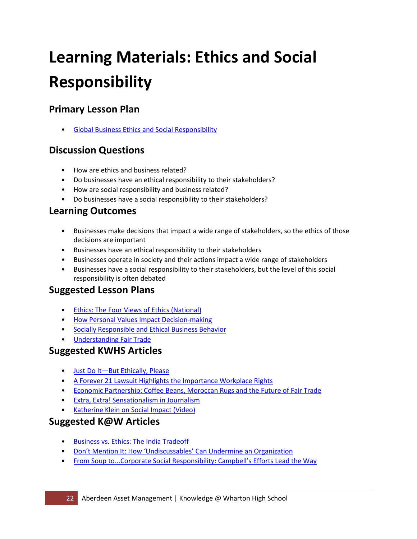# **Learning Materials: Ethics and Social Responsibility**

# **Primary Lesson Plan**

• [Global Business Ethics and Social Responsibility](http://kwhs.wharton.upenn.edu/lesson_plans/global-business-ethics-and-social-responsibility/) 

### **Discussion Questions**

- How are ethics and business related?
- Do businesses have an ethical responsibility to their stakeholders?
- How are social responsibility and business related?
- Do businesses have a social responsibility to their stakeholders?

#### **Learning Outcomes**

- Businesses make decisions that impact a wide range of stakeholders, so the ethics of those decisions are important
- Businesses have an ethical responsibility to their stakeholders
- Businesses operate in society and their actions impact a wide range of stakeholders
- Businesses have a social responsibility to their stakeholders, but the level of this social responsibility is often debated

#### **Suggested Lesson Plans**

- [Ethics: The Four Views of Ethics \(National\)](http://kwhs.wharton.upenn.edu/lesson_plans/ethics-the-four-views-of-ethics-national/)
- [How Personal Values Impact Decision-making](http://kwhs.wharton.upenn.edu/lesson_plans/how-personal-values-impact-decision-making/)
- [Socially Responsible and Ethical Business Behavior](http://kwhs.wharton.upenn.edu/lesson_plans/socially-responsible-and-ethical-business-behavior/)
- [Understanding Fair Trade](http://kwhs.wharton.upenn.edu/lesson_plans/understanding-fair-trade/)

#### **Suggested KWHS Articles**

- [Just Do It—But Ethically, Please](http://kwhs.wharton.upenn.edu/2011/02/just-do-it-–-but-ethically-please/)
- [A Forever 21 Lawsuit Highlights the Importance Workplace Rights](http://kwhs.wharton.upenn.edu/2012/01/a-forever-21-lawsuit-highlights-the-importance-of-workplace-rights/)
- [Economic Partnership: Coffee Beans, Moroccan Rugs and the Future of Fair Trade](http://kwhs.wharton.upenn.edu/2011/09/economic-partnership-coffee-beans-moroccan-rugs-and-the-future-of-fair-trade/)
- [Extra, Extra! Sensationalism in Journalism](http://kwhs.wharton.upenn.edu/2013/09/extra-extra-sensationalism-in-journalism/)
- [Katherine Klein on Social Impact \(Video\)](http://kwhs.wharton.upenn.edu/2013/09/katherine-klein-on-social-impact-and-finding-opportunities-to-make-a-difference-in-the-world/)

- [Business vs. Ethics: The India Tradeoff](http://knowledge.wharton.upenn.edu/article.cfm?articleid=2897)
- [Don't Mention It: How 'Undiscussables' Can Undermine an Organization](http://knowledge.wharton.upenn.edu/article.cfm?articleid=2921)
- [From Soup to...Corporate Social Responsibility: Campbell's Efforts Lead the Way](http://knowledge.wharton.upenn.edu/article.cfm?articleid=2378)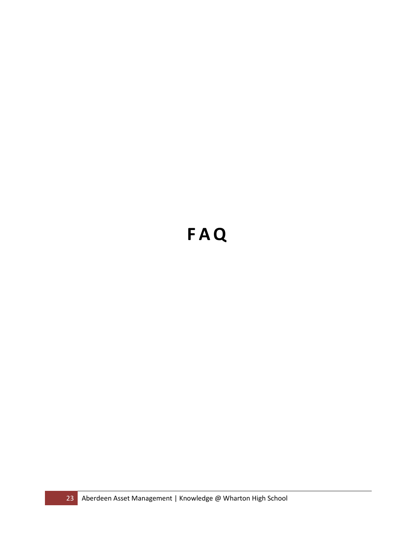# **FAQ**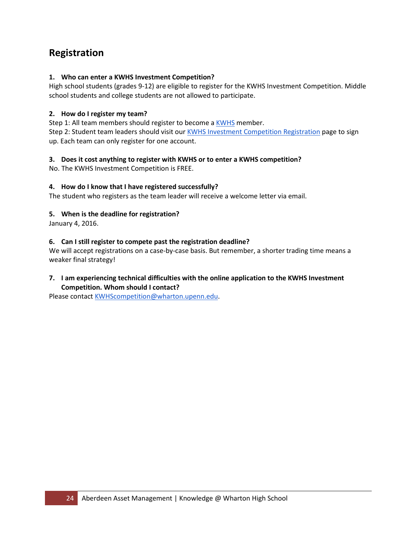## **Registration**

#### **1. Who can enter a KWHS Investment Competition?**

High school students (grades 9-12) are eligible to register for the KWHS Investment Competition. Middle school students and college students are not allowed to participate.

#### **2. How do I register my team?**

Step 1: All team members should register to become a [KWHS](https://kwhs.wharton.upenn.edu/register/) member. Step 2: Student team leaders should visit our [KWHS Investment Competition Registration](http://kwhs.wharton.upenn.edu/competitions/2015-2016-invest/) page to sign up. Each team can only register for one account.

#### **3. Does it cost anything to register with KWHS or to enter a KWHS competition?**

No. The KWHS Investment Competition is FREE.

#### **4. How do I know that I have registered successfully?**

The student who registers as the team leader will receive a welcome letter via email.

#### **5. When is the deadline for registration?**

January 4, 2016.

#### **6. Can I still register to compete past the registration deadline?**

We will accept registrations on a case-by-case basis. But remember, a shorter trading time means a weaker final strategy!

#### **7. I am experiencing technical difficulties with the online application to the KWHS Investment Competition. Whom should I contact?**

Please contact [KWHScompetition@wharton.upenn.edu.](mailto:KWHScompetition@wharton.upenn.edu)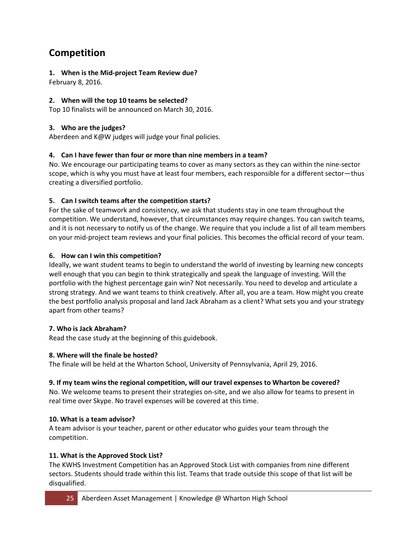# **Competition**

#### **1. When is the Mid-project Team Review due?**

February 8, 2016.

#### **2. When will the top 10 teams be selected?**

Top 10 finalists will be announced on March 30, 2016.

#### **3. Who are the judges?**

Aberdeen and K@W judges will judge your final policies.

#### **4. Can I have fewer than four or more than nine members in a team?**

No. We encourage our participating teams to cover as many sectors as they can within the nine-sector scope, which is why you must have at least four members, each responsible for a different sector—thus creating a diversified portfolio.

#### **5. Can I switch teams after the competition starts?**

For the sake of teamwork and consistency, we ask that students stay in one team throughout the competition. We understand, however, that circumstances may require changes. You can switch teams, and it is not necessary to notify us of the change. We require that you include a list of all team members on your mid-project team reviews and your final policies. This becomes the official record of your team.

#### **6. How can I win this competition?**

Ideally, we want student teams to begin to understand the world of investing by learning new concepts well enough that you can begin to think strategically and speak the language of investing. Will the portfolio with the highest percentage gain win? Not necessarily. You need to develop and articulate a strong strategy. And we want teams to think creatively. After all, you are a team. How might you create the best portfolio analysis proposal and land Jack Abraham as a client? What sets you and your strategy apart from other teams?

#### **7. Who is Jack Abraham?**

Read the case study at the beginning of this guidebook.

#### **8. Where will the finale be hosted?**

The finale will be held at the Wharton School, University of Pennsylvania, April 29, 2016.

#### **9. If my team wins the regional competition, will our travel expenses to Wharton be covered?**

No. We welcome teams to present their strategies on-site, and we also allow for teams to present in real time over Skype. No travel expenses will be covered at this time.

#### **10. What is a team advisor?**

A team advisor is your teacher, parent or other educator who guides your team through the competition.

#### **11. What is the Approved Stock List?**

The KWHS Investment Competition has an Approved Stock List with companies from nine different sectors. Students should trade within this list. Teams that trade outside this scope of that list will be disqualified.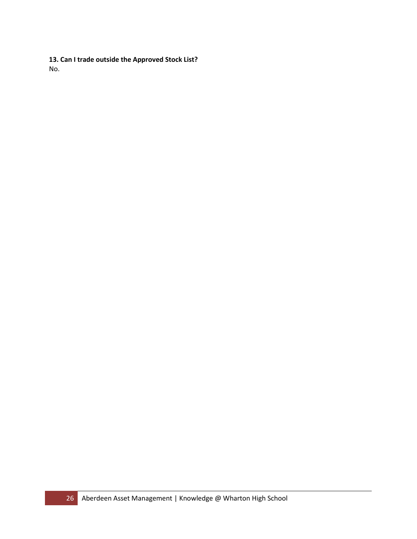**13. Can I trade outside the Approved Stock List?** No.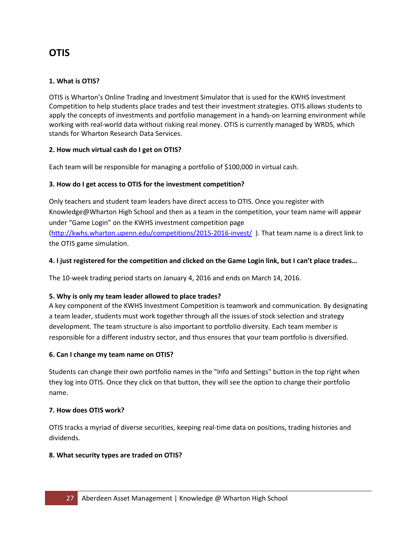## **OTIS**

#### **1. What is OTIS?**

OTIS is Wharton's Online Trading and Investment Simulator that is used for the KWHS Investment Competition to help students place trades and test their investment strategies. OTIS allows students to apply the concepts of investments and portfolio management in a hands-on learning environment while working with real-world data without risking real money. OTIS is currently managed by WRDS, which stands for Wharton Research Data Services.

#### **2. How much virtual cash do I get on OTIS?**

Each team will be responsible for managing a portfolio of \$100,000 in virtual cash.

#### **3. How do I get access to OTIS for the investment competition?**

Only teachers and student team leaders have direct access to OTIS. Once you register with Knowledge@Wharton High School and then as a team in the competition, your team name will appear under "Game Login" on the KWHS investment competition page [\(http://kwhs.wharton.upenn.edu/competitions/2015-2016-invest/](http://kwhs.wharton.upenn.edu/competitions/2015-2016-invest-same/) ). That team name is a direct link to

the OTIS game simulation.

#### **4. I just registered for the competition and clicked on the Game Login link, but I can't place trades…**

The 10-week trading period starts on January 4, 2016 and ends on March 14, 2016.

#### **5. Why is only my team leader allowed to place trades?**

A key component of the KWHS Investment Competition is teamwork and communication. By designating a team leader, students must work together through all the issues of stock selection and strategy development. The team structure is also important to portfolio diversity. Each team member is responsible for a different industry sector, and thus ensures that your team portfolio is diversified.

#### **6. Can I change my team name on OTIS?**

Students can change their own portfolio names in the "Info and Settings" button in the top right when they log into OTIS. Once they click on that button, they will see the option to change their portfolio name.

#### **7. How does OTIS work?**

OTIS tracks a myriad of diverse securities, keeping real-time data on positions, trading histories and dividends.

#### **8. What security types are traded on OTIS?**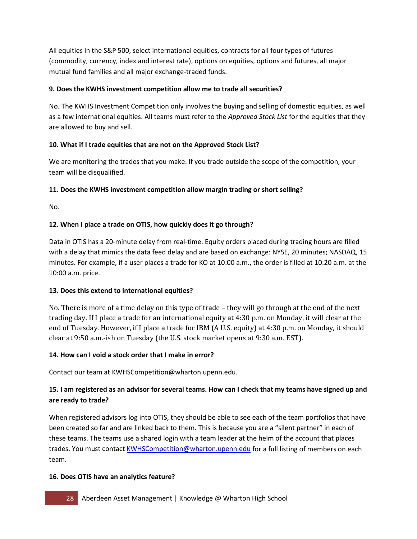All equities in the S&P 500, select international equities, contracts for all four types of futures (commodity, currency, index and interest rate), options on equities, options and futures, all major mutual fund families and all major exchange-traded funds.

#### **9. Does the KWHS investment competition allow me to trade all securities?**

No. The KWHS Investment Competition only involves the buying and selling of domestic equities, as well as a few international equities. All teams must refer to the *Approved Stock List* for the equities that they are allowed to buy and sell.

#### **10. What if I trade equities that are not on the Approved Stock List?**

We are monitoring the trades that you make. If you trade outside the scope of the competition, your team will be disqualified.

#### **11. Does the KWHS investment competition allow margin trading or short selling?**

No.

#### **12. When I place a trade on OTIS, how quickly does it go through?**

Data in OTIS has a 20-minute delay from real-time. Equity orders placed during trading hours are filled with a delay that mimics the data feed delay and are based on exchange: NYSE, 20 minutes; NASDAQ, 15 minutes. For example, if a user places a trade for KO at 10:00 a.m., the order is filled at 10:20 a.m. at the 10:00 a.m. price.

#### **13. Does this extend to international equities?**

No. There is more of a time delay on this type of trade – they will go through at the end of the next trading day. If I place a trade for an international equity at 4:30 p.m. on Monday, it will clear at the end of Tuesday. However, if I place a trade for IBM (A U.S. equity) at 4:30 p.m. on Monday, it should clear at 9:50 a.m.-ish on Tuesday (the U.S. stock market opens at 9:30 a.m. EST).

#### **14. How can I void a stock order that I make in error?**

Contact our team at KWHSCompetition@wharton.upenn.edu.

#### **15. I am registered as an advisor for several teams. How can I check that my teams have signed up and are ready to trade?**

When registered advisors log into OTIS, they should be able to see each of the team portfolios that have been created so far and are linked back to them. This is because you are a "silent partner" in each of these teams. The teams use a shared login with a team leader at the helm of the account that places trades. You must contact [KWHSCompetition@wharton.upenn.edu](mailto:KWHSCompetition@wharton.upenn.edu) for a full listing of members on each team.

#### **16. Does OTIS have an analytics feature?**